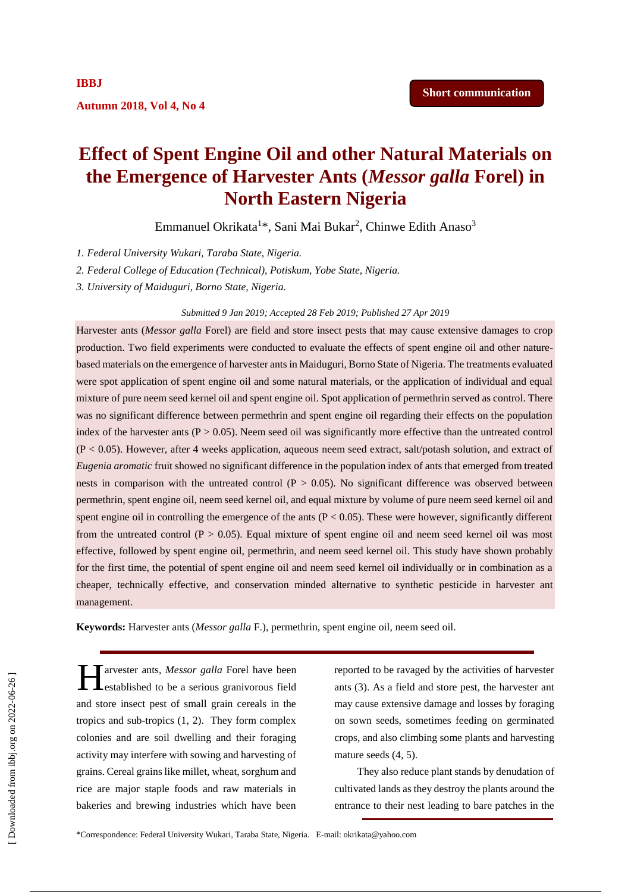# **Effect of Spent Engine Oil and other Natural Materials on the Emergence of Harvester Ants (***Messor galla* **Forel) in North Eastern Nigeria**

Emmanuel Okrikata<sup>1\*</sup>, Sani Mai Bukar<sup>2</sup>, Chinwe Edith Anaso<sup>3</sup>

*1. Federal University Wukari, Taraba State, Nigeria.*

*2. Federal College of Education (Technical), Potiskum, Yobe State, Nigeria.*

*3. University of Maiduguri, Borno State, Nigeria.*

# *Submitted 9 Jan 2019; Accepted 28 Feb 2019; Published 27 Apr 2019*

Harvester ants (*Messor galla* Forel) are field and store insect pests that may cause extensive damages to crop production. Two field experiments were conducted to evaluate the effects of spent engine oil and other naturebased materials on the emergence of harvester ants in Maiduguri, Borno State of Nigeria. The treatments evaluated were spot application of spent engine oil and some natural materials, or the application of individual and equal mixture of pure neem seed kernel oil and spent engine oil. Spot application of permethrin served as control. There was no significant difference between permethrin and spent engine oil regarding their effects on the population index of the harvester ants ( $P > 0.05$ ). Neem seed oil was significantly more effective than the untreated control (P < 0.05). However, after 4 weeks application, aqueous neem seed extract, salt/potash solution, and extract of *Eugenia aromatic* fruit showed no significant difference in the population index of ants that emerged from treated nests in comparison with the untreated control  $(P > 0.05)$ . No significant difference was observed between permethrin, spent engine oil, neem seed kernel oil, and equal mixture by volume of pure neem seed kernel oil and spent engine oil in controlling the emergence of the ants  $(P < 0.05)$ . These were however, significantly different from the untreated control  $(P > 0.05)$ . Equal mixture of spent engine oil and neem seed kernel oil was most effective, followed by spent engine oil, permethrin, and neem seed kernel oil. This study have shown probably for the first time, the potential of spent engine oil and neem seed kernel oil individually or in combination as a cheaper, technically effective, and conservation minded alternative to synthetic pesticide in harvester ant management.

**Keywords:** Harvester ants (*Messor galla* F.), permethrin, spent engine oil, neem seed oil.

arvester ants, *Messor galla* Forel have been **L**established to be a serious granivorous field and store insect pest of small grain cereals in the tropics and sub-tropics (1, 2). They form complex colonies and are soil dwelling and their foraging activity may interfere with sowing and harvesting of grains. Cereal grains like millet, wheat, sorghum and rice are major staple foods and raw materials in bakeries and brewing industries which have been H

reported to be ravaged by the activities of harvester ants (3). As a field and store pest, the harvester ant may cause extensive damage and losses by foraging on sown seeds, sometimes feeding on germinated crops, and also climbing some plants and harvesting mature seeds (4, 5).

They also reduce plant stands by denudation of cultivated lands as they destroy the plants around the entrance to their nest leading to bare patches in the

**Autumn 2018, Vol 4, No 4**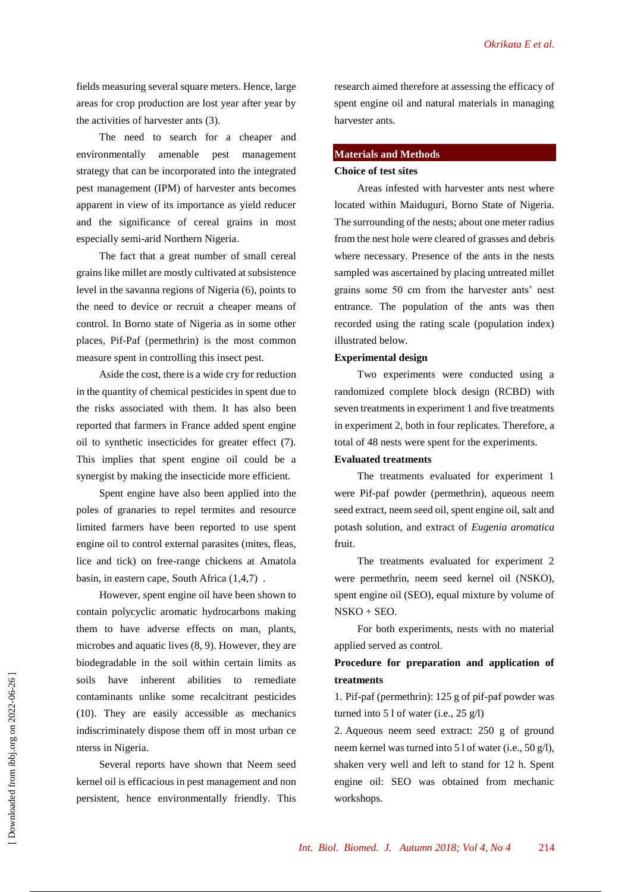fields measuring several square meters. Hence, large areas for crop production are lost year after year by the activities of harvester ants (3).

The need to search for a cheaper and environmentally amenable pest management strategy that can be incorporated into the integrated pest management (IPM) of harvester ants becomes apparent in view of its importance as yield reducer and the significance of cereal grains in most especially semi-arid Northern Nigeria.

The fact that a great number of small cereal grains like millet are mostly cultivated at subsistence level in the savanna regions of Nigeria (6), points to the need to device or recruit a cheaper means of control. In Borno state of Nigeria as in some other places, Pif-Paf (permethrin) is the most common measure spent in controlling this insect pest.

Aside the cost, there is a wide cry for reduction in the quantity of chemical pesticides in spent due to the risks associated with them. It has also been reported that farmers in France added spent engine oil to synthetic insecticides for greater effect (7). This implies that spent engine oil could be a synergist by making the insecticide more efficient.

Spent engine have also been applied into the poles of granaries to repel termites and resource limited farmers have been reported to use spent engine oil to control external parasites (mites, fleas, lice and tick) on free-range chickens at Amatola basin, in eastern cape, South Africa (1,4,7) .

However, spent engine oil have been shown to contain polycyclic aromatic hydrocarbons making them to have adverse effects on man, plants, microbes and aquatic lives (8, 9). However, they are biodegradable in the soil within certain limits as soils have inherent abilities to remediate contaminants unlike some recalcitrant pesticides (10). They are easily accessible as mechanics indiscriminately dispose them off in most urban ce nterss in Nigeria.

Several reports have shown that Neem seed kernel oil is efficacious in pest management and non persistent, hence environmentally friendly. This research aimed therefore at assessing the efficacy of spent engine oil and natural materials in managing harvester ants.

## **Materials and Methods**

# **Choice of test sites**

Areas infested with harvester ants nest where located within Maiduguri, Borno State of Nigeria. The surrounding of the nests; about one meter radius from the nest hole were cleared of grasses and debris where necessary. Presence of the ants in the nests sampled was ascertained by placing untreated millet grains some 50 cm from the harvester ants' nest entrance. The population of the ants was then recorded using the rating scale (population index) illustrated below.

# **Experimental design**

Two experiments were conducted using a randomized complete block design (RCBD) with seven treatments in experiment 1 and five treatments in experiment 2, both in four replicates. Therefore, a total of 48 nests were spent for the experiments.

# **Evaluated treatments**

The treatments evaluated for experiment 1 were Pif-paf powder (permethrin), aqueous neem seed extract, neem seed oil, spent engine oil, salt and potash solution, and extract of *Eugenia aromatica* fruit.

The treatments evaluated for experiment 2 were permethrin, neem seed kernel oil (NSKO), spent engine oil (SEO), equal mixture by volume of  $NSKO + SEO.$ 

For both experiments, nests with no material applied served as control.

# **Procedure for preparation and application of treatments**

1. Pif-paf (permethrin): 125 g of pif-paf powder was turned into  $51$  of water (i.e.,  $25$  g/l)

2. Aqueous neem seed extract: 250 g of ground neem kernel was turned into 5 l of water (i.e., 50 g/l), shaken very well and left to stand for 12 h. Spent engine oil: SEO was obtained from mechanic workshops.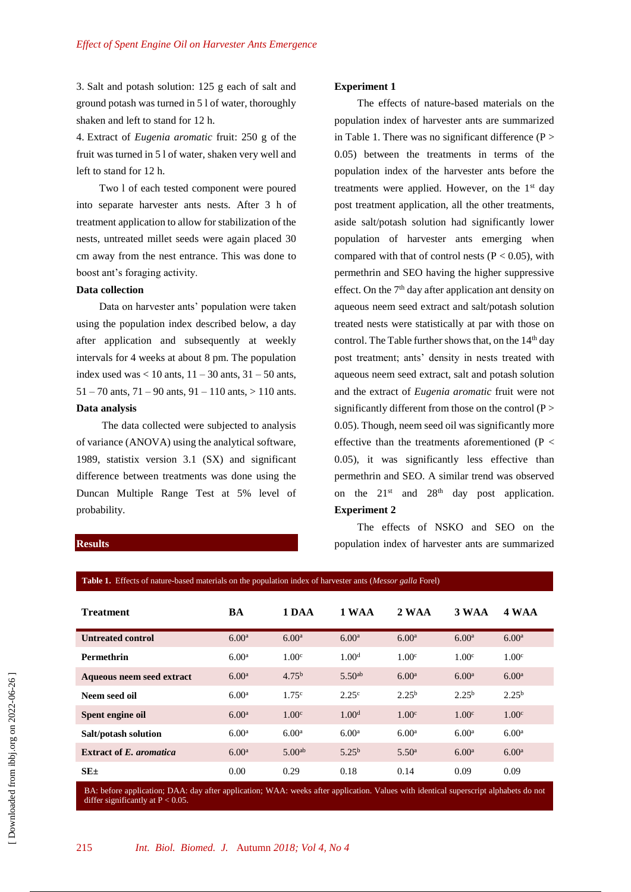3. Salt and potash solution: 125 g each of salt and ground potash was turned in 5 l of water, thoroughly shaken and left to stand for 12 h.

4. Extract of *Eugenia aromatic* fruit: 250 g of the fruit was turned in 5 l of water, shaken very well and left to stand for 12 h.

Two l of each tested component were poured into separate harvester ants nests. After 3 h of treatment application to allow for stabilization of the nests, untreated millet seeds were again placed 30 cm away from the nest entrance. This was done to boost ant's foraging activity.

# **Data collection**

Data on harvester ants' population were taken using the population index described below, a day after application and subsequently at weekly intervals for 4 weeks at about 8 pm. The population index used was  $< 10$  ants,  $11 - 30$  ants,  $31 - 50$  ants,  $51 - 70$  ants,  $71 - 90$  ants,  $91 - 110$  ants,  $> 110$  ants. **Data analysis**

The data collected were subjected to analysis of variance (ANOVA) using the analytical software, 1989, statistix version 3.1 (SX) and significant difference between treatments was done using the Duncan Multiple Range Test at 5% level of probability.

# **Experiment 1**

The effects of nature-based materials on the population index of harvester ants are summarized in Table 1. There was no significant difference  $(P >$ 0.05) between the treatments in terms of the population index of the harvester ants before the treatments were applied. However, on the  $1<sup>st</sup>$  day post treatment application, all the other treatments, aside salt/potash solution had significantly lower population of harvester ants emerging when compared with that of control nests ( $P < 0.05$ ), with permethrin and SEO having the higher suppressive effect. On the 7<sup>th</sup> day after application ant density on aqueous neem seed extract and salt/potash solution treated nests were statistically at par with those on control. The Table further shows that, on the  $14<sup>th</sup>$  day post treatment; ants' density in nests treated with aqueous neem seed extract, salt and potash solution and the extract of *Eugenia aromatic* fruit were not significantly different from those on the control  $(P >$ 0.05). Though, neem seed oil was significantly more effective than the treatments aforementioned ( $P <$ 0.05), it was significantly less effective than permethrin and SEO. A similar trend was observed on the  $21^{st}$  and  $28^{th}$  day post application. **Experiment 2**

The effects of NSKO and SEO on the population index of harvester ants are summarized

| Table 1. Effects of nature-based materials on the population index of harvester ants ( <i>Messor galla</i> Forel) |                   |                    |                    |                   |                   |                   |  |  |  |  |
|-------------------------------------------------------------------------------------------------------------------|-------------------|--------------------|--------------------|-------------------|-------------------|-------------------|--|--|--|--|
| <b>Treatment</b>                                                                                                  | BA                | 1 DAA              | 1 WAA              | 2 WAA             | 3 WAA             | 4 WAA             |  |  |  |  |
| <b>Untreated control</b>                                                                                          | 6.00 <sup>a</sup> | 6.00 <sup>a</sup>  | 6.00 <sup>a</sup>  | 6.00 <sup>a</sup> | 6.00 <sup>a</sup> | 6.00 <sup>a</sup> |  |  |  |  |
| <b>Permethrin</b>                                                                                                 | 6.00 <sup>a</sup> | 1.00 <sup>c</sup>  | 1.00 <sup>d</sup>  | 1.00 <sup>c</sup> | 1.00 <sup>c</sup> | 1.00 <sup>c</sup> |  |  |  |  |
| Aqueous neem seed extract                                                                                         | 6.00 <sup>a</sup> | 4.75 <sup>b</sup>  | 5.50 <sup>ab</sup> | 6.00 <sup>a</sup> | 6.00 <sup>a</sup> | 6.00 <sup>a</sup> |  |  |  |  |
| Neem seed oil                                                                                                     | 6.00 <sup>a</sup> | 1.75 <sup>c</sup>  | 2.25 <sup>c</sup>  | $2.25^{b}$        | $2.25^{b}$        | $2.25^{b}$        |  |  |  |  |
| Spent engine oil                                                                                                  | 6.00 <sup>a</sup> | 1.00 <sup>c</sup>  | 1.00 <sup>d</sup>  | 1.00 <sup>c</sup> | 1.00 <sup>c</sup> | 1.00 <sup>c</sup> |  |  |  |  |
| Salt/potash solution                                                                                              | 6.00 <sup>a</sup> | 6.00 <sup>a</sup>  | 6.00 <sup>a</sup>  | 6.00 <sup>a</sup> | 6.00 <sup>a</sup> | 6.00 <sup>a</sup> |  |  |  |  |
| <b>Extract of E.</b> aromatica                                                                                    | 6.00 <sup>a</sup> | 5.00 <sup>ab</sup> | $5.25^{b}$         | 5.50 <sup>a</sup> | 6.00 <sup>a</sup> | 6.00 <sup>a</sup> |  |  |  |  |
| $SE_{\pm}$                                                                                                        | 0.00              | 0.29               | 0.18               | 0.14              | 0.09              | 0.09              |  |  |  |  |

BA: before application; DAA: day after application; WAA: weeks after application. Values with identical superscript alphabets do not differ significantly at  $P < 0.05$ .

#### **Results**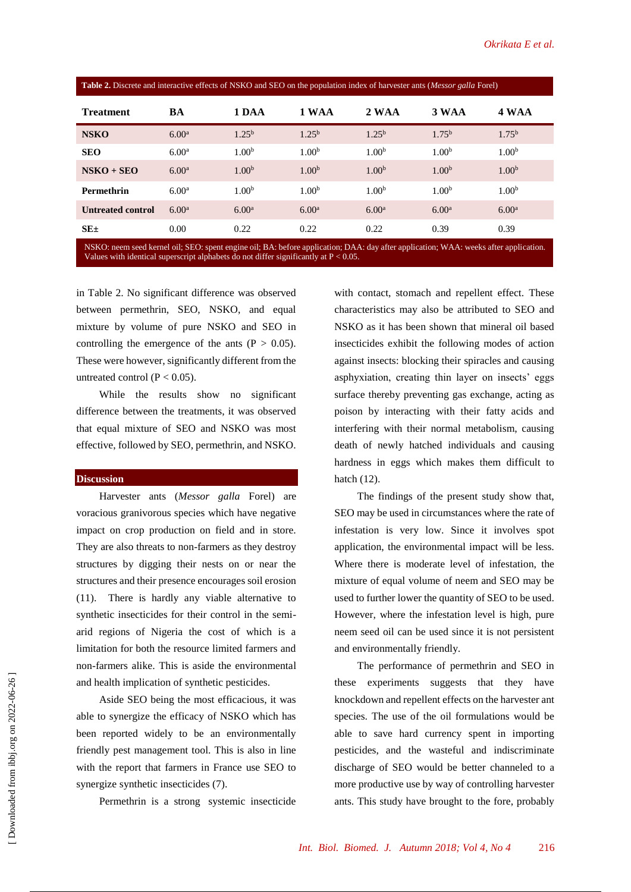| Table 2. Discrete and interactive effects of NSKO and SEO on the population index of harvester ants ( <i>Messor galla</i> Forel) |                   |                   |                   |                   |                   |                   |  |  |  |  |
|----------------------------------------------------------------------------------------------------------------------------------|-------------------|-------------------|-------------------|-------------------|-------------------|-------------------|--|--|--|--|
| <b>Treatment</b>                                                                                                                 | BA                | 1 DAA             | 1 WAA             | 2 WAA             | 3 WAA             | 4 WAA             |  |  |  |  |
| <b>NSKO</b>                                                                                                                      | 6.00 <sup>a</sup> | $1.25^{b}$        | $1.25^{b}$        | $1.25^{b}$        | 1.75 <sup>b</sup> | 1.75 <sup>b</sup> |  |  |  |  |
| <b>SEO</b>                                                                                                                       | 6.00 <sup>a</sup> | 1.00 <sup>b</sup> | 1.00 <sup>b</sup> | 1.00 <sup>b</sup> | 1.00 <sup>b</sup> | 1.00 <sup>b</sup> |  |  |  |  |
| $NSKO + SEO$                                                                                                                     | 6.00 <sup>a</sup> | 1.00 <sup>b</sup> | 1.00 <sup>b</sup> | 1.00 <sup>b</sup> | 1.00 <sup>b</sup> | 1.00 <sup>b</sup> |  |  |  |  |
| Permethrin                                                                                                                       | 6.00 <sup>a</sup> | 1.00 <sup>b</sup> | 1.00 <sup>b</sup> | 1.00 <sup>b</sup> | 1.00 <sup>b</sup> | 1.00 <sup>b</sup> |  |  |  |  |
| <b>Untreated control</b>                                                                                                         | 6.00 <sup>a</sup> | 6.00 <sup>a</sup> | 6.00 <sup>a</sup> | 6.00 <sup>a</sup> | 6.00 <sup>a</sup> | 6.00 <sup>a</sup> |  |  |  |  |
| $SE_{\pm}$                                                                                                                       | 0.00              | 0.22              | 0.22              | 0.22              | 0.39              | 0.39              |  |  |  |  |

NSKO: neem seed kernel oil; SEO: spent engine oil; BA: before application; DAA: day after application; WAA: weeks after application. Values with identical superscript alphabets do not differ significantly at  $P < 0.05$ .

in Table 2. No significant difference was observed between permethrin, SEO, NSKO, and equal mixture by volume of pure NSKO and SEO in controlling the emergence of the ants  $(P > 0.05)$ . These were however, significantly different from the untreated control ( $P < 0.05$ ).

While the results show no significant difference between the treatments, it was observed that equal mixture of SEO and NSKO was most effective, followed by SEO, permethrin, and NSKO.

#### **Discussion**

Harvester ants (*Messor galla* Forel) are voracious granivorous species which have negative impact on crop production on field and in store. They are also threats to non-farmers as they destroy structures by digging their nests on or near the structures and their presence encourages soil erosion (11). There is hardly any viable alternative to synthetic insecticides for their control in the semiarid regions of Nigeria the cost of which is a limitation for both the resource limited farmers and non-farmers alike. This is aside the environmental and health implication of synthetic pesticides.

Aside SEO being the most efficacious, it was able to synergize the efficacy of NSKO which has been reported widely to be an environmentally friendly pest management tool. This is also in line with the report that farmers in France use SEO to synergize synthetic insecticides (7).

Permethrin is a strong systemic insecticide

with contact, stomach and repellent effect. These characteristics may also be attributed to SEO and NSKO as it has been shown that mineral oil based insecticides exhibit the following modes of action against insects: blocking their spiracles and causing asphyxiation, creating thin layer on insects' eggs surface thereby preventing gas exchange, acting as poison by interacting with their fatty acids and interfering with their normal metabolism, causing death of newly hatched individuals and causing hardness in eggs which makes them difficult to hatch (12).

The findings of the present study show that, SEO may be used in circumstances where the rate of infestation is very low. Since it involves spot application, the environmental impact will be less. Where there is moderate level of infestation, the mixture of equal volume of neem and SEO may be used to further lower the quantity of SEO to be used. However, where the infestation level is high, pure neem seed oil can be used since it is not persistent and environmentally friendly.

The performance of permethrin and SEO in these experiments suggests that they have knockdown and repellent effects on the harvester ant species. The use of the oil formulations would be able to save hard currency spent in importing pesticides, and the wasteful and indiscriminate discharge of SEO would be better channeled to a more productive use by way of controlling harvester ants. This study have brought to the fore, probably